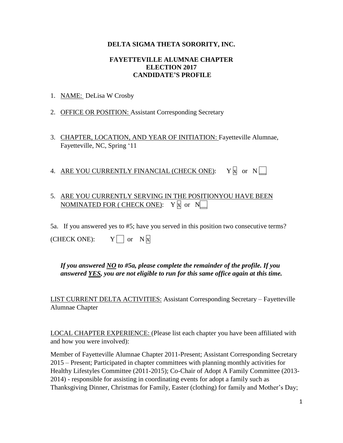#### **DELTA SIGMA THETA SORORITY, INC.**

#### **FAYETTEVILLE ALUMNAE CHAPTER ELECTION 2017 CANDIDATE'S PROFILE**

- 1. NAME: DeLisa W Crosby
- 2. OFFICE OR POSITION: Assistant Corresponding Secretary
- 3. CHAPTER, LOCATION, AND YEAR OF INITIATION: Fayetteville Alumnae, Fayetteville, NC, Spring '11
- 4. ARE YOU CURRENTLY FINANCIAL (CHECK ONE):  $Y \nvert \nvert$  or  $N \nvert$

## 5. ARE YOU CURRENTLY SERVING IN THE POSITIONYOU HAVE BEEN NOMINATED FOR ( CHECK ONE):  $Y |x|$  or  $N$

5a. If you answered yes to #5; have you served in this position two consecutive terms?

(CHECK ONE):  $Y \cap \text{or } N \times$ 

*If you answered NO to #5a, please complete the remainder of the profile. If you answered YES, you are not eligible to run for this same office again at this time.* 

LIST CURRENT DELTA ACTIVITIES: Assistant Corresponding Secretary – Fayetteville Alumnae Chapter

LOCAL CHAPTER EXPERIENCE: (Please list each chapter you have been affiliated with and how you were involved):

Member of Fayetteville Alumnae Chapter 2011-Present; Assistant Corresponding Secretary 2015 – Present; Participated in chapter committees with planning monthly activities for Healthy Lifestyles Committee (2011-2015); Co-Chair of Adopt A Family Committee (2013- 2014) - responsible for assisting in coordinating events for adopt a family such as Thanksgiving Dinner, Christmas for Family, Easter (clothing) for family and Mother's Day;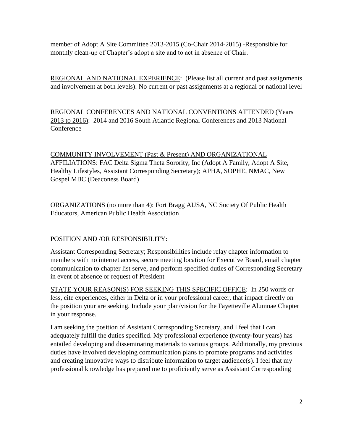member of Adopt A Site Committee 2013-2015 (Co-Chair 2014-2015) -Responsible for monthly clean-up of Chapter's adopt a site and to act in absence of Chair.

REGIONAL AND NATIONAL EXPERIENCE: (Please list all current and past assignments and involvement at both levels): No current or past assignments at a regional or national level

REGIONAL CONFERENCES AND NATIONAL CONVENTIONS ATTENDED (Years 2013 to 2016): 2014 and 2016 South Atlantic Regional Conferences and 2013 National **Conference** 

COMMUNITY INVOLVEMENT (Past & Present) AND ORGANIZATIONAL AFFILIATIONS: FAC Delta Sigma Theta Sorority, Inc (Adopt A Family, Adopt A Site, Healthy Lifestyles, Assistant Corresponding Secretary); APHA, SOPHE, NMAC, New Gospel MBC (Deaconess Board)

ORGANIZATIONS (no more than 4): Fort Bragg AUSA, NC Society Of Public Health Educators, American Public Health Association

### POSITION AND /OR RESPONSIBILITY:

Assistant Corresponding Secretary; Responsibilities include relay chapter information to members with no internet access, secure meeting location for Executive Board, email chapter communication to chapter list serve, and perform specified duties of Corresponding Secretary in event of absence or request of President

STATE YOUR REASON(S) FOR SEEKING THIS SPECIFIC OFFICE: In 250 words or less, cite experiences, either in Delta or in your professional career, that impact directly on the position your are seeking. Include your plan/vision for the Fayetteville Alumnae Chapter in your response.

I am seeking the position of Assistant Corresponding Secretary, and I feel that I can adequately fulfill the duties specified. My professional experience (twenty-four years) has entailed developing and disseminating materials to various groups. Additionally, my previous duties have involved developing communication plans to promote programs and activities and creating innovative ways to distribute information to target audience(s). I feel that my professional knowledge has prepared me to proficiently serve as Assistant Corresponding